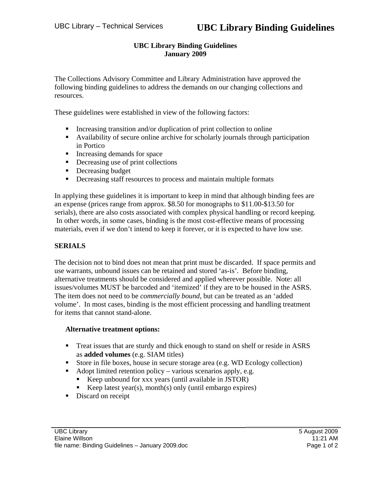# **UBC Library Binding Guidelines January 2009**

The Collections Advisory Committee and Library Administration have approved the following binding guidelines to address the demands on our changing collections and resources.

These guidelines were established in view of the following factors:

- Increasing transition and/or duplication of print collection to online
- Availability of secure online archive for scholarly journals through participation in Portico
- Increasing demands for space
- Decreasing use of print collections
- **Decreasing budget**
- Decreasing staff resources to process and maintain multiple formats

In applying these guidelines it is important to keep in mind that although binding fees are an expense (prices range from approx. \$8.50 for monographs to \$11.00-\$13.50 for serials), there are also costs associated with complex physical handling or record keeping. In other words, in some cases, binding is the most cost-effective means of processing materials, even if we don't intend to keep it forever, or it is expected to have low use.

# **SERIALS**

The decision not to bind does not mean that print must be discarded. If space permits and use warrants, unbound issues can be retained and stored 'as-is'. Before binding, alternative treatments should be considered and applied wherever possible. Note: all issues/volumes MUST be barcoded and 'itemized' if they are to be housed in the ASRS. The item does not need to be *commercially bound*, but can be treated as an 'added volume'. In most cases, binding is the most efficient processing and handling treatment for items that cannot stand-alone.

## **Alternative treatment options:**

- Treat issues that are sturdy and thick enough to stand on shelf or reside in ASRS as **added volumes** (e.g. SIAM titles)
- Store in file boxes, house in secure storage area (e.g. WD Ecology collection)
- Adopt limited retention policy various scenarios apply, e.g.
	- Keep unbound for xxx years (until available in JSTOR)
	- Keep latest year(s), month(s) only (until embargo expires)
- Discard on receipt